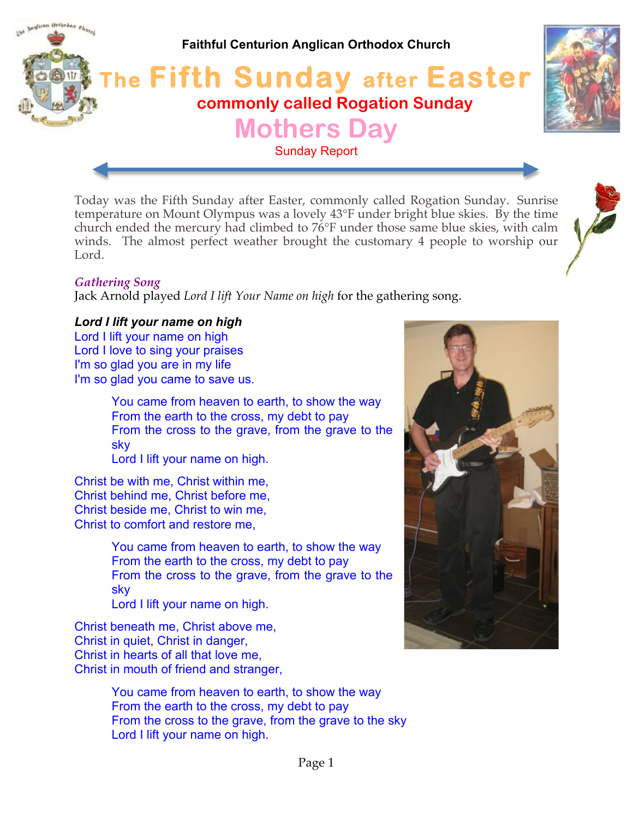

Today was the Fifth Sunday after Easter, commonly called Rogation Sunday. Sunrise temperature on Mount Olympus was a lovely 43°F under bright blue skies. By the time church ended the mercury had climbed to 76°F under those same blue skies, with calm winds. The almost perfect weather brought the customary 4 people to worship our Lord.

## *Gathering Song*

Jack Arnold played *Lord I lift Your Name on high* for the gathering song.

## *Lord I lift your name on high*

Lord I lift your name on high Lord I love to sing your praises I'm so glad you are in my life I'm so glad you came to save us.

> You came from heaven to earth, to show the way From the earth to the cross, my debt to pay From the cross to the grave, from the grave to the sky

Lord I lift your name on high.

Christ be with me, Christ within me, Christ behind me, Christ before me, Christ beside me, Christ to win me, Christ to comfort and restore me,

> You came from heaven to earth, to show the way From the earth to the cross, my debt to pay From the cross to the grave, from the grave to the sky

Lord I lift your name on high.

Christ beneath me, Christ above me, Christ in quiet, Christ in danger, Christ in hearts of all that love me, Christ in mouth of friend and stranger,

> You came from heaven to earth, to show the way From the earth to the cross, my debt to pay From the cross to the grave, from the grave to the sky Lord I lift your name on high.

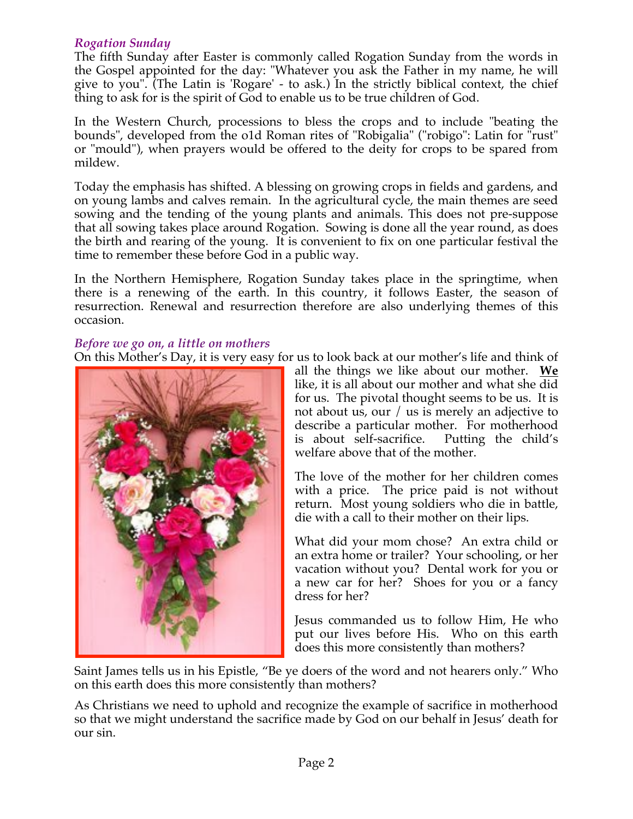# *Rogation Sunday*

The fifth Sunday after Easter is commonly called Rogation Sunday from the words in the Gospel appointed for the day: "Whatever you ask the Father in my name, he will give to you". (The Latin is 'Rogare' - to ask.) In the strictly biblical context, the chief thing to ask for is the spirit of God to enable us to be true children of God.

In the Western Church, processions to bless the crops and to include "beating the bounds", developed from the o1d Roman rites of "Robigalia" ("robigo": Latin for "rust" or "mould"), when prayers would be offered to the deity for crops to be spared from mildew.

Today the emphasis has shifted. A blessing on growing crops in fields and gardens, and on young lambs and calves remain. In the agricultural cycle, the main themes are seed sowing and the tending of the young plants and animals. This does not pre-suppose that all sowing takes place around Rogation. Sowing is done all the year round, as does the birth and rearing of the young. It is convenient to fix on one particular festival the time to remember these before God in a public way.

In the Northern Hemisphere, Rogation Sunday takes place in the springtime, when there is a renewing of the earth. In this country, it follows Easter, the season of resurrection. Renewal and resurrection therefore are also underlying themes of this occasion.

# *Before we go on, a little on mothers*

On this Mother's Day, it is very easy for us to look back at our mother's life and think of



all the things we like about our mother. **We** like, it is all about our mother and what she did for us. The pivotal thought seems to be us. It is not about us, our / us is merely an adjective to describe a particular mother. For motherhood is about self-sacrifice. Putting the child's welfare above that of the mother.

The love of the mother for her children comes with a price. The price paid is not without return. Most young soldiers who die in battle, die with a call to their mother on their lips.

What did your mom chose? An extra child or an extra home or trailer? Your schooling, or her vacation without you? Dental work for you or a new car for her? Shoes for you or a fancy dress for her?

Jesus commanded us to follow Him, He who put our lives before His. Who on this earth does this more consistently than mothers?

Saint James tells us in his Epistle, "Be ye doers of the word and not hearers only." Who on this earth does this more consistently than mothers?

As Christians we need to uphold and recognize the example of sacrifice in motherhood so that we might understand the sacrifice made by God on our behalf in Jesus' death for our sin.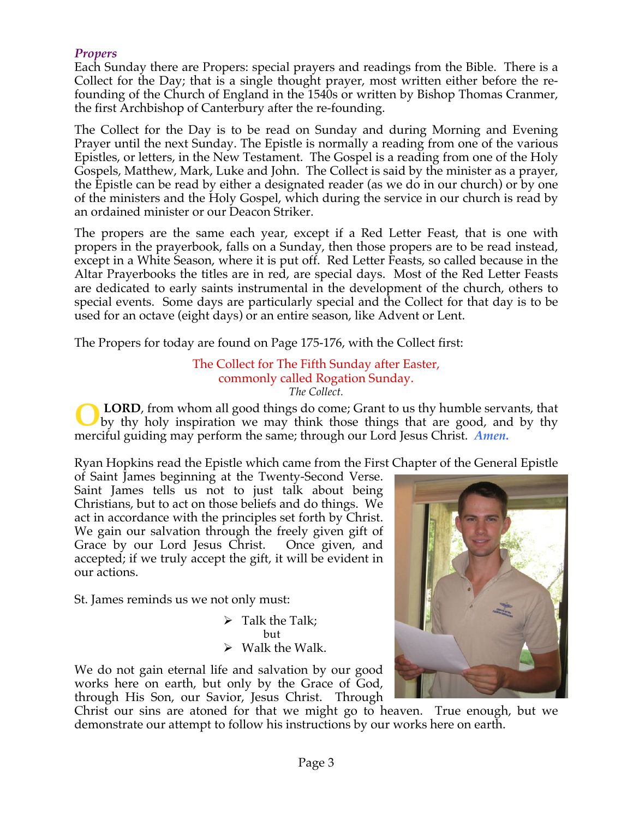## *Propers*

Each Sunday there are Propers: special prayers and readings from the Bible. There is a Collect for the Day; that is a single thought prayer, most written either before the refounding of the Church of England in the 1540s or written by Bishop Thomas Cranmer, the first Archbishop of Canterbury after the re-founding.

The Collect for the Day is to be read on Sunday and during Morning and Evening Prayer until the next Sunday. The Epistle is normally a reading from one of the various Epistles, or letters, in the New Testament. The Gospel is a reading from one of the Holy Gospels, Matthew, Mark, Luke and John. The Collect is said by the minister as a prayer, the Epistle can be read by either a designated reader (as we do in our church) or by one of the ministers and the Holy Gospel, which during the service in our church is read by an ordained minister or our Deacon Striker.

The propers are the same each year, except if a Red Letter Feast, that is one with propers in the prayerbook, falls on a Sunday, then those propers are to be read instead, except in a White Season, where it is put off. Red Letter Feasts, so called because in the Altar Prayerbooks the titles are in red, are special days. Most of the Red Letter Feasts are dedicated to early saints instrumental in the development of the church, others to special events. Some days are particularly special and the Collect for that day is to be used for an octave (eight days) or an entire season, like Advent or Lent.

The Propers for today are found on Page 175-176, with the Collect first:

#### The Collect for The Fifth Sunday after Easter, commonly called Rogation Sunday. *The Collect.*

**LORD**, from whom all good things do come; Grant to us thy humble servants, that by thy holy inspiration we may think those things that are good, and by thy merciful guiding may perform the same; through our Lord Jesus Christ. *Amen.* **O**

Ryan Hopkins read the Epistle which came from the First Chapter of the General Epistle

of Saint James beginning at the Twenty-Second Verse. Saint James tells us not to just talk about being Christians, but to act on those beliefs and do things. We act in accordance with the principles set forth by Christ. We gain our salvation through the freely given gift of Grace by our Lord Jesus Christ. Once given, and accepted; if we truly accept the gift, it will be evident in our actions.

St. James reminds us we not only must:

 $\triangleright$  Talk the Talk: but  $\triangleright$  Walk the Walk.

We do not gain eternal life and salvation by our good works here on earth, but only by the Grace of God, through His Son, our Savior, Jesus Christ. Through

Christ our sins are atoned for that we might go to heaven. True enough, but we demonstrate our attempt to follow his instructions by our works here on earth.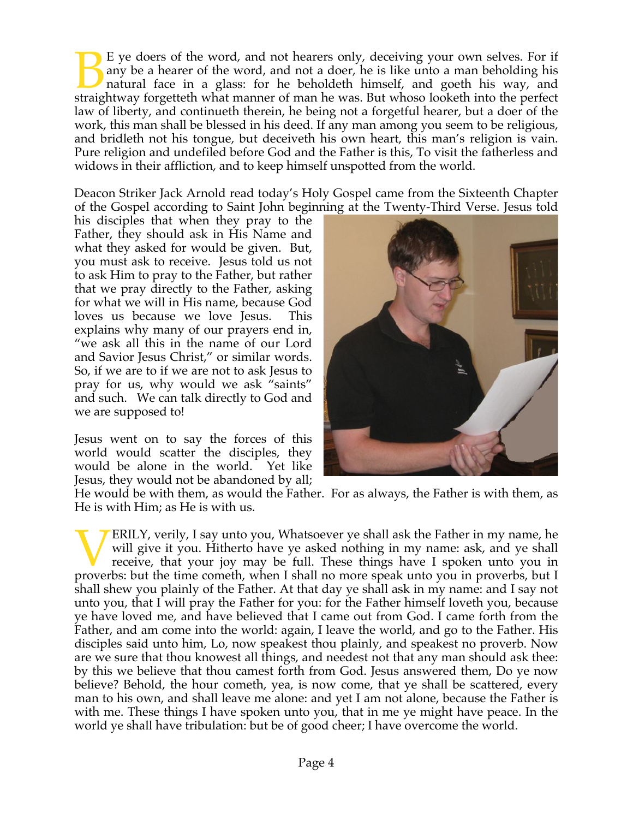E ye doers of the word, and not hearers only, deceiving your own selves. For if any be a hearer of the word, and not a doer, he is like unto a man beholding his natural face in a glass: for he beholdeth himself, and goeth his way, and E ye doers of the word, and not hearers only, deceiving your own selves. For if any be a hearer of the word, and not a doer, he is like unto a man beholding his natural face in a glass: for he beholdeth himself, and goeth law of liberty, and continueth therein, he being not a forgetful hearer, but a doer of the work, this man shall be blessed in his deed. If any man among you seem to be religious, and bridleth not his tongue, but deceiveth his own heart, this man's religion is vain. Pure religion and undefiled before God and the Father is this, To visit the fatherless and widows in their affliction, and to keep himself unspotted from the world.

Deacon Striker Jack Arnold read today's Holy Gospel came from the Sixteenth Chapter of the Gospel according to Saint John beginning at the Twenty-Third Verse. Jesus told

his disciples that when they pray to the Father, they should ask in His Name and what they asked for would be given. But, you must ask to receive. Jesus told us not to ask Him to pray to the Father, but rather that we pray directly to the Father, asking for what we will in His name, because God loves us because we love Jesus. This explains why many of our prayers end in, "we ask all this in the name of our Lord and Savior Jesus Christ," or similar words. So, if we are to if we are not to ask Jesus to pray for us, why would we ask "saints" and such. We can talk directly to God and we are supposed to!

Jesus went on to say the forces of this world would scatter the disciples, they would be alone in the world. Yet like Jesus, they would not be abandoned by all;



He would be with them, as would the Father. For as always, the Father is with them, as He is with Him; as He is with us.

ERILY, verily, I say unto you, Whatsoever ye shall ask the Father in my name, he will give it you. Hitherto have ye asked nothing in my name: ask, and ye shall receive, that your joy may be full. These things have I spoken unto you in **PERILY**, verily, I say unto you, Whatsoever ye shall ask the Father in my name, he will give it you. Hitherto have ye asked nothing in my name: ask, and ye shall receive, that your joy may be full. These things have I spo shall shew you plainly of the Father. At that day ye shall ask in my name: and I say not unto you, that I will pray the Father for you: for the Father himself loveth you, because ye have loved me, and have believed that I came out from God. I came forth from the Father, and am come into the world: again, I leave the world, and go to the Father. His disciples said unto him, Lo, now speakest thou plainly, and speakest no proverb. Now are we sure that thou knowest all things, and needest not that any man should ask thee: by this we believe that thou camest forth from God. Jesus answered them, Do ye now believe? Behold, the hour cometh, yea, is now come, that ye shall be scattered, every man to his own, and shall leave me alone: and yet I am not alone, because the Father is with me. These things I have spoken unto you, that in me ye might have peace. In the world ye shall have tribulation: but be of good cheer; I have overcome the world.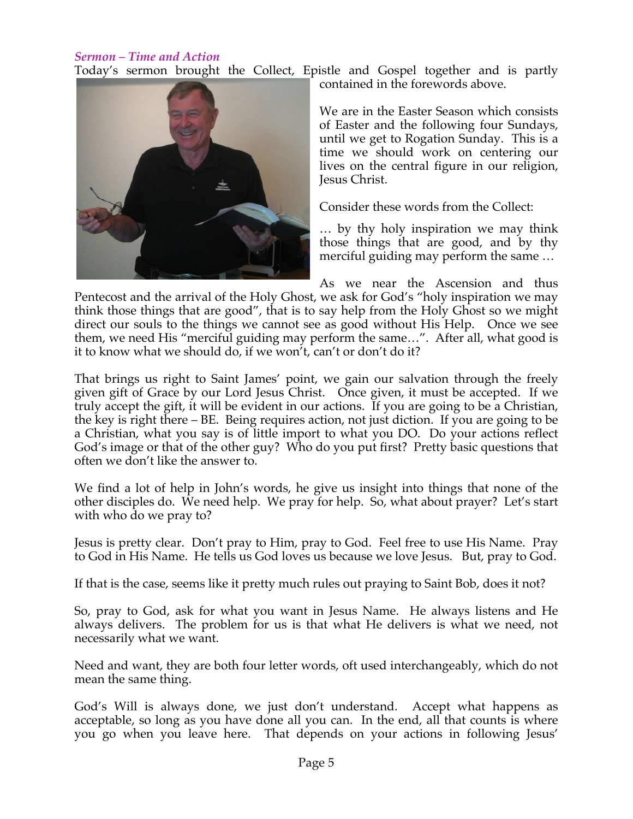## *Sermon – Time and Action*

Today's sermon brought the Collect, Epistle and Gospel together and is partly



contained in the forewords above.

We are in the Easter Season which consists of Easter and the following four Sundays, until we get to Rogation Sunday. This is a time we should work on centering our lives on the central figure in our religion, Jesus Christ.

Consider these words from the Collect:

… by thy holy inspiration we may think those things that are good, and by thy merciful guiding may perform the same …

As we near the Ascension and thus Pentecost and the arrival of the Holy Ghost, we ask for God's "holy inspiration we may think those things that are good", that is to say help from the Holy Ghost so we might direct our souls to the things we cannot see as good without His Help. Once we see them, we need His "merciful guiding may perform the same…". After all, what good is it to know what we should do, if we won't, can't or don't do it?

That brings us right to Saint James' point, we gain our salvation through the freely given gift of Grace by our Lord Jesus Christ. Once given, it must be accepted. If we truly accept the gift, it will be evident in our actions. If you are going to be a Christian, the key is right there – BE. Being requires action, not just diction. If you are going to be a Christian, what you say is of little import to what you DO. Do your actions reflect God's image or that of the other guy? Who do you put first? Pretty basic questions that often we don't like the answer to.

We find a lot of help in John's words, he give us insight into things that none of the other disciples do. We need help. We pray for help. So, what about prayer? Let's start with who do we pray to?

Jesus is pretty clear. Don't pray to Him, pray to God. Feel free to use His Name. Pray to God in His Name. He tells us God loves us because we love Jesus. But, pray to God.

If that is the case, seems like it pretty much rules out praying to Saint Bob, does it not?

So, pray to God, ask for what you want in Jesus Name. He always listens and He always delivers. The problem for us is that what He delivers is what we need, not necessarily what we want.

Need and want, they are both four letter words, oft used interchangeably, which do not mean the same thing.

God's Will is always done, we just don't understand. Accept what happens as acceptable, so long as you have done all you can. In the end, all that counts is where you go when you leave here. That depends on your actions in following Jesus'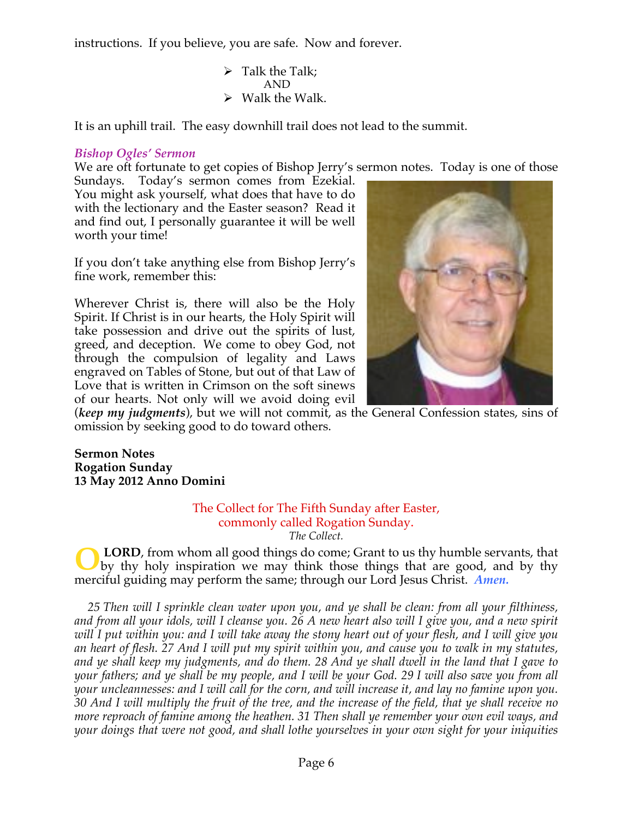instructions. If you believe, you are safe. Now and forever.

 $\triangleright$  Talk the Talk; AND  $\triangleright$  Walk the Walk.

It is an uphill trail. The easy downhill trail does not lead to the summit.

## *Bishop Ogles' Sermon*

We are oft fortunate to get copies of Bishop Jerry's sermon notes. Today is one of those

Sundays. Today's sermon comes from Ezekial. You might ask yourself, what does that have to do with the lectionary and the Easter season? Read it and find out, I personally guarantee it will be well worth your time!

If you don't take anything else from Bishop Jerry's fine work, remember this:

Wherever Christ is, there will also be the Holy Spirit. If Christ is in our hearts, the Holy Spirit will take possession and drive out the spirits of lust, greed, and deception. We come to obey God, not through the compulsion of legality and Laws engraved on Tables of Stone, but out of that Law of Love that is written in Crimson on the soft sinews of our hearts. Not only will we avoid doing evil



(*keep my judgments*), but we will not commit, as the General Confession states, sins of omission by seeking good to do toward others.

**Sermon Notes Rogation Sunday 13 May 2012 Anno Domini**

#### The Collect for The Fifth Sunday after Easter, commonly called Rogation Sunday. *The Collect.*

**LORD**, from whom all good things do come; Grant to us thy humble servants, that by thy holy inspiration we may think those things that are good, and by thy merciful guiding may perform the same; through our Lord Jesus Christ. *Amen.* **O**

 *25 Then will I sprinkle clean water upon you, and ye shall be clean: from all your filthiness, and from all your idols, will I cleanse you. 26 A new heart also will I give you, and a new spirit will I put within you: and I will take away the stony heart out of your flesh, and I will give you an heart of flesh. 27 And I will put my spirit within you, and cause you to walk in my statutes, and ye shall keep my judgments, and do them. 28 And ye shall dwell in the land that I gave to your fathers; and ye shall be my people, and I will be your God. 29 I will also save you from all your uncleannesses: and I will call for the corn, and will increase it, and lay no famine upon you. 30 And I will multiply the fruit of the tree, and the increase of the field, that ye shall receive no more reproach of famine among the heathen. 31 Then shall ye remember your own evil ways, and your doings that were not good, and shall lothe yourselves in your own sight for your iniquities*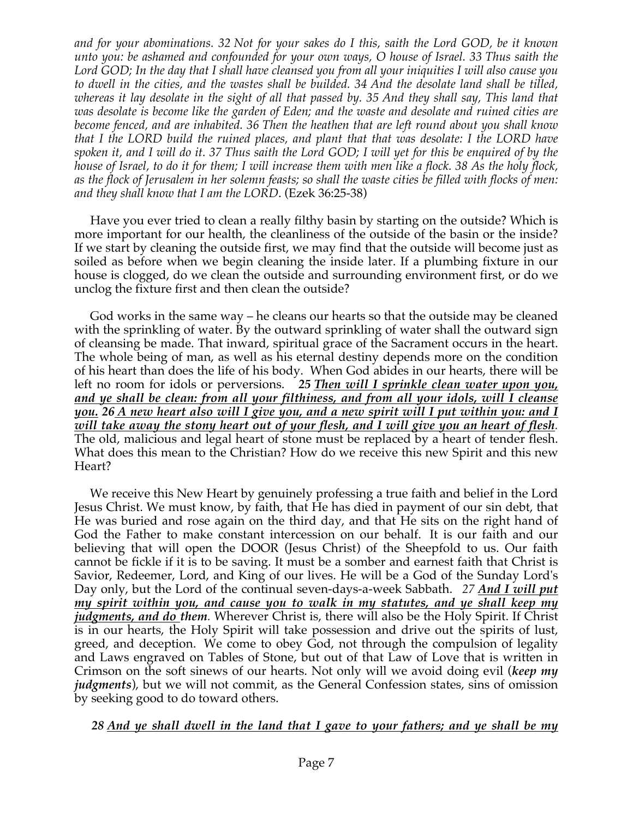*and for your abominations. 32 Not for your sakes do I this, saith the Lord GOD, be it known unto you: be ashamed and confounded for your own ways, O house of Israel. 33 Thus saith the Lord GOD; In the day that I shall have cleansed you from all your iniquities I will also cause you to dwell in the cities, and the wastes shall be builded. 34 And the desolate land shall be tilled, whereas it lay desolate in the sight of all that passed by. 35 And they shall say, This land that was desolate is become like the garden of Eden; and the waste and desolate and ruined cities are become fenced, and are inhabited. 36 Then the heathen that are left round about you shall know that I the LORD build the ruined places, and plant that that was desolate: I the LORD have spoken it, and I will do it. 37 Thus saith the Lord GOD; I will yet for this be enquired of by the house of Israel, to do it for them; I will increase them with men like a flock. 38 As the holy flock, as the flock of Jerusalem in her solemn feasts; so shall the waste cities be filled with flocks of men: and they shall know that I am the LORD*. (Ezek 36:25-38)

 Have you ever tried to clean a really filthy basin by starting on the outside? Which is more important for our health, the cleanliness of the outside of the basin or the inside? If we start by cleaning the outside first, we may find that the outside will become just as soiled as before when we begin cleaning the inside later. If a plumbing fixture in our house is clogged, do we clean the outside and surrounding environment first, or do we unclog the fixture first and then clean the outside?

 God works in the same way – he cleans our hearts so that the outside may be cleaned with the sprinkling of water. By the outward sprinkling of water shall the outward sign of cleansing be made. That inward, spiritual grace of the Sacrament occurs in the heart. The whole being of man, as well as his eternal destiny depends more on the condition of his heart than does the life of his body. When God abides in our hearts, there will be left no room for idols or perversions. *25 Then will I sprinkle clean water upon you, and ye shall be clean: from all your filthiness, and from all your idols, will I cleanse you. 26 A new heart also will I give you, and a new spirit will I put within you: and I will take away the stony heart out of your flesh, and I will give you an heart of flesh.* The old, malicious and legal heart of stone must be replaced by a heart of tender flesh. What does this mean to the Christian? How do we receive this new Spirit and this new Heart?

 We receive this New Heart by genuinely professing a true faith and belief in the Lord Jesus Christ. We must know, by faith, that He has died in payment of our sin debt, that He was buried and rose again on the third day, and that He sits on the right hand of God the Father to make constant intercession on our behalf. It is our faith and our believing that will open the DOOR (Jesus Christ) of the Sheepfold to us. Our faith cannot be fickle if it is to be saving. It must be a somber and earnest faith that Christ is Savior, Redeemer, Lord, and King of our lives. He will be a God of the Sunday Lord's Day only, but the Lord of the continual seven-days-a-week Sabbath. *27 And I will put my spirit within you, and cause you to walk in my statutes, and ye shall keep my judgments, and do them.* Wherever Christ is, there will also be the Holy Spirit. If Christ is in our hearts, the Holy Spirit will take possession and drive out the spirits of lust, greed, and deception. We come to obey God, not through the compulsion of legality and Laws engraved on Tables of Stone, but out of that Law of Love that is written in Crimson on the soft sinews of our hearts. Not only will we avoid doing evil (*keep my judgments*), but we will not commit, as the General Confession states, sins of omission by seeking good to do toward others.

*28 And ye shall dwell in the land that I gave to your fathers; and ye shall be my*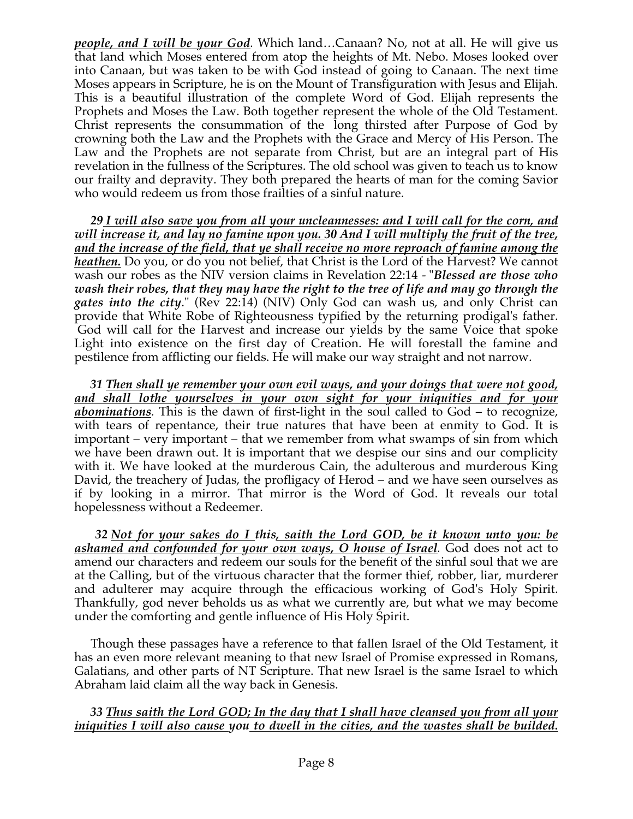*people, and I will be your God.* Which land…Canaan? No, not at all. He will give us that land which Moses entered from atop the heights of Mt. Nebo. Moses looked over into Canaan, but was taken to be with God instead of going to Canaan. The next time Moses appears in Scripture, he is on the Mount of Transfiguration with Jesus and Elijah. This is a beautiful illustration of the complete Word of God. Elijah represents the Prophets and Moses the Law. Both together represent the whole of the Old Testament. Christ represents the consummation of the long thirsted after Purpose of God by crowning both the Law and the Prophets with the Grace and Mercy of His Person. The Law and the Prophets are not separate from Christ, but are an integral part of His revelation in the fullness of the Scriptures. The old school was given to teach us to know our frailty and depravity. They both prepared the hearts of man for the coming Savior who would redeem us from those frailties of a sinful nature.

*29 I will also save you from all your uncleannesses: and I will call for the corn, and will increase it, and lay no famine upon you. 30 And I will multiply the fruit of the tree, and the increase of the field, that ye shall receive no more reproach of famine among the heathen.* Do you, or do you not belief, that Christ is the Lord of the Harvest? We cannot wash our robes as the NIV version claims in Revelation 22:14 - "*Blessed are those who wash their robes, that they may have the right to the tree of life and may go through the gates into the city*." (Rev 22:14) (NIV) Only God can wash us, and only Christ can provide that White Robe of Righteousness typified by the returning prodigal's father. God will call for the Harvest and increase our yields by the same Voice that spoke Light into existence on the first day of Creation. He will forestall the famine and pestilence from afflicting our fields. He will make our way straight and not narrow.

 *31 Then shall ye remember your own evil ways, and your doings that were not good,*  and shall lothe yourselves in your own sight for your iniquities and for your *abominations.* This is the dawn of first-light in the soul called to God – to recognize, with tears of repentance, their true natures that have been at enmity to God. It is important – very important – that we remember from what swamps of sin from which we have been drawn out. It is important that we despise our sins and our complicity with it. We have looked at the murderous Cain, the adulterous and murderous King David, the treachery of Judas, the profligacy of Herod – and we have seen ourselves as if by looking in a mirror. That mirror is the Word of God. It reveals our total hopelessness without a Redeemer.

 *32 Not for your sakes do I this, saith the Lord GOD, be it known unto you: be ashamed and confounded for your own ways, O house of Israel.* God does not act to amend our characters and redeem our souls for the benefit of the sinful soul that we are at the Calling, but of the virtuous character that the former thief, robber, liar, murderer and adulterer may acquire through the efficacious working of God's Holy Spirit. Thankfully, god never beholds us as what we currently are, but what we may become under the comforting and gentle influence of His Holy Spirit.

 Though these passages have a reference to that fallen Israel of the Old Testament, it has an even more relevant meaning to that new Israel of Promise expressed in Romans, Galatians, and other parts of NT Scripture. That new Israel is the same Israel to which Abraham laid claim all the way back in Genesis.

 *33 Thus saith the Lord GOD; In the day that I shall have cleansed you from all your iniquities I will also cause you to dwell in the cities, and the wastes shall be builded.*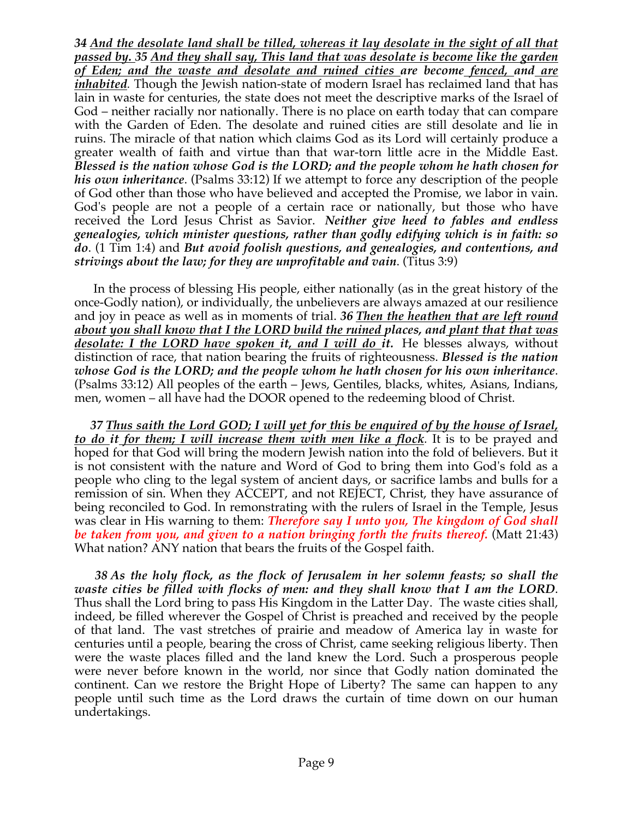*34 And the desolate land shall be tilled, whereas it lay desolate in the sight of all that passed by. 35 And they shall say, This land that was desolate is become like the garden of Eden; and the waste and desolate and ruined cities are become fenced, and are inhabited.* Though the Jewish nation-state of modern Israel has reclaimed land that has lain in waste for centuries, the state does not meet the descriptive marks of the Israel of God – neither racially nor nationally. There is no place on earth today that can compare with the Garden of Eden. The desolate and ruined cities are still desolate and lie in ruins. The miracle of that nation which claims God as its Lord will certainly produce a greater wealth of faith and virtue than that war-torn little acre in the Middle East. *Blessed is the nation whose God is the LORD; and the people whom he hath chosen for his own inheritance*. (Psalms 33:12) If we attempt to force any description of the people of God other than those who have believed and accepted the Promise, we labor in vain. God's people are not a people of a certain race or nationally, but those who have received the Lord Jesus Christ as Savior. *Neither give heed to fables and endless genealogies, which minister questions, rather than godly edifying which is in faith: so do*. (1 Tim 1:4) and *But avoid foolish questions, and genealogies, and contentions, and strivings about the law; for they are unprofitable and vain*. (Titus 3:9)

 In the process of blessing His people, either nationally (as in the great history of the once-Godly nation), or individually, the unbelievers are always amazed at our resilience and joy in peace as well as in moments of trial. *36 Then the heathen that are left round about you shall know that I the LORD build the ruined places, and plant that that was desolate: I the LORD have spoken it, and I will do it.* He blesses always, without distinction of race, that nation bearing the fruits of righteousness. *Blessed is the nation whose God is the LORD; and the people whom he hath chosen for his own inheritance*. (Psalms 33:12) All peoples of the earth – Jews, Gentiles, blacks, whites, Asians, Indians, men, women – all have had the DOOR opened to the redeeming blood of Christ.

 *37 Thus saith the Lord GOD; I will yet for this be enquired of by the house of Israel, to do it for them; I will increase them with men like a flock.* It is to be prayed and hoped for that God will bring the modern Jewish nation into the fold of believers. But it is not consistent with the nature and Word of God to bring them into God's fold as a people who cling to the legal system of ancient days, or sacrifice lambs and bulls for a remission of sin. When they ACCEPT, and not REJECT, Christ, they have assurance of being reconciled to God. In remonstrating with the rulers of Israel in the Temple, Jesus was clear in His warning to them: *Therefore say I unto you, The kingdom of God shall be taken from you, and given to a nation bringing forth the fruits thereof.* (Matt 21:43) What nation? ANY nation that bears the fruits of the Gospel faith.

 *38 As the holy flock, as the flock of Jerusalem in her solemn feasts; so shall the waste cities be filled with flocks of men: and they shall know that I am the LORD*. Thus shall the Lord bring to pass His Kingdom in the Latter Day. The waste cities shall, indeed, be filled wherever the Gospel of Christ is preached and received by the people of that land. The vast stretches of prairie and meadow of America lay in waste for centuries until a people, bearing the cross of Christ, came seeking religious liberty. Then were the waste places filled and the land knew the Lord. Such a prosperous people were never before known in the world, nor since that Godly nation dominated the continent. Can we restore the Bright Hope of Liberty? The same can happen to any people until such time as the Lord draws the curtain of time down on our human undertakings.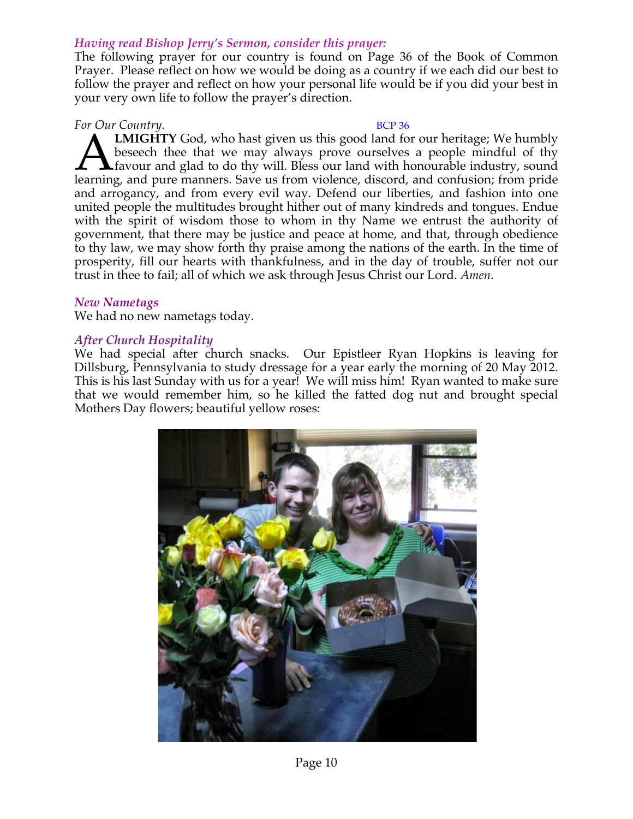## *Having read Bishop Jerry's Sermon, consider this prayer:*

The following prayer for our country is found on Page 36 of the Book of Common Prayer. Please reflect on how we would be doing as a country if we each did our best to follow the prayer and reflect on how your personal life would be if you did your best in your very own life to follow the prayer's direction.

#### *For Our Country.* BCP 36

**LMIGHTY** God, who hast given us this good land for our heritage; We humbly beseech thee that we may always prove ourselves a people mindful of thy  $\blacktriangle$  favour and glad to do thy will. Bless our land with honourable industry, sound **LMIGHTY** God, who hast given us this good land for our heritage; We humbly beseech thee that we may always prove ourselves a people mindful of thy favour and glad to do thy will. Bless our land with honourable industry, s and arrogancy, and from every evil way. Defend our liberties, and fashion into one united people the multitudes brought hither out of many kindreds and tongues. Endue with the spirit of wisdom those to whom in thy Name we entrust the authority of government, that there may be justice and peace at home, and that, through obedience to thy law, we may show forth thy praise among the nations of the earth. In the time of prosperity, fill our hearts with thankfulness, and in the day of trouble, suffer not our trust in thee to fail; all of which we ask through Jesus Christ our Lord. *Amen*.

#### *New Nametags*

We had no new nametags today.

#### *After Church Hospitality*

We had special after church snacks. Our Epistleer Ryan Hopkins is leaving for Dillsburg, Pennsylvania to study dressage for a year early the morning of 20 May 2012. This is his last Sunday with us for a year! We will miss him! Ryan wanted to make sure that we would remember him, so he killed the fatted dog nut and brought special Mothers Day flowers; beautiful yellow roses:

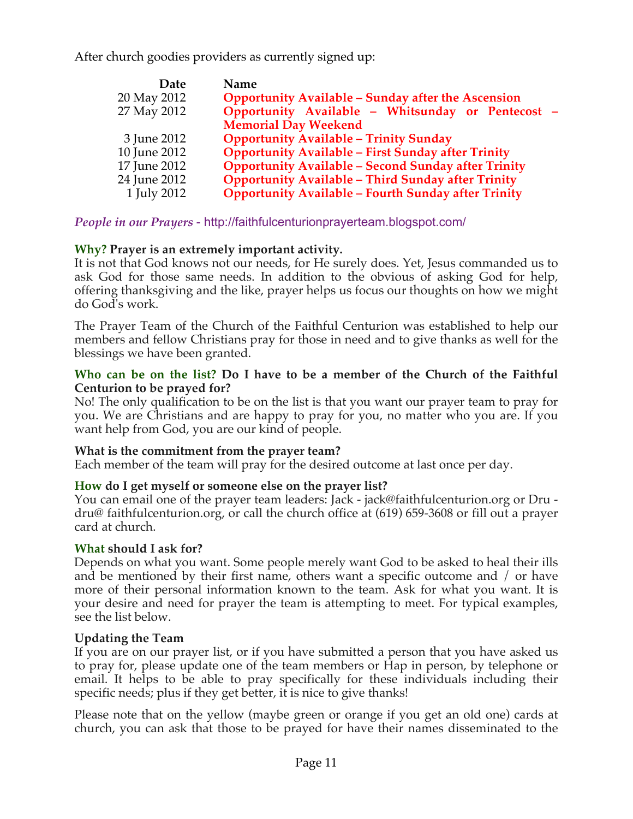After church goodies providers as currently signed up:

| Date         | <b>Name</b>                                                |
|--------------|------------------------------------------------------------|
| 20 May 2012  | <b>Opportunity Available - Sunday after the Ascension</b>  |
| 27 May 2012  | Opportunity Available - Whitsunday or Pentecost -          |
|              | <b>Memorial Day Weekend</b>                                |
| 3 June 2012  | <b>Opportunity Available - Trinity Sunday</b>              |
| 10 June 2012 | <b>Opportunity Available - First Sunday after Trinity</b>  |
| 17 June 2012 | <b>Opportunity Available - Second Sunday after Trinity</b> |
| 24 June 2012 | <b>Opportunity Available - Third Sunday after Trinity</b>  |
| 1 July 2012  | <b>Opportunity Available - Fourth Sunday after Trinity</b> |

# *People in our Prayers* - http://faithfulcenturionprayerteam.blogspot.com/

# **Why? Prayer is an extremely important activity.**

It is not that God knows not our needs, for He surely does. Yet, Jesus commanded us to ask God for those same needs. In addition to the obvious of asking God for help, offering thanksgiving and the like, prayer helps us focus our thoughts on how we might do God's work.

The Prayer Team of the Church of the Faithful Centurion was established to help our members and fellow Christians pray for those in need and to give thanks as well for the blessings we have been granted.

#### **Who can be on the list? Do I have to be a member of the Church of the Faithful Centurion to be prayed for?**

No! The only qualification to be on the list is that you want our prayer team to pray for you. We are Christians and are happy to pray for you, no matter who you are. If you want help from God, you are our kind of people.

## **What is the commitment from the prayer team?**

Each member of the team will pray for the desired outcome at last once per day.

## **How do I get myself or someone else on the prayer list?**

You can email one of the prayer team leaders: Jack - jack@faithfulcenturion.org or Dru dru@ faithfulcenturion.org, or call the church office at (619) 659-3608 or fill out a prayer card at church.

## **What should I ask for?**

Depends on what you want. Some people merely want God to be asked to heal their ills and be mentioned by their first name, others want a specific outcome and / or have more of their personal information known to the team. Ask for what you want. It is your desire and need for prayer the team is attempting to meet. For typical examples, see the list below.

# **Updating the Team**

If you are on our prayer list, or if you have submitted a person that you have asked us to pray for, please update one of the team members or Hap in person, by telephone or email. It helps to be able to pray specifically for these individuals including their specific needs; plus if they get better, it is nice to give thanks!

Please note that on the yellow (maybe green or orange if you get an old one) cards at church, you can ask that those to be prayed for have their names disseminated to the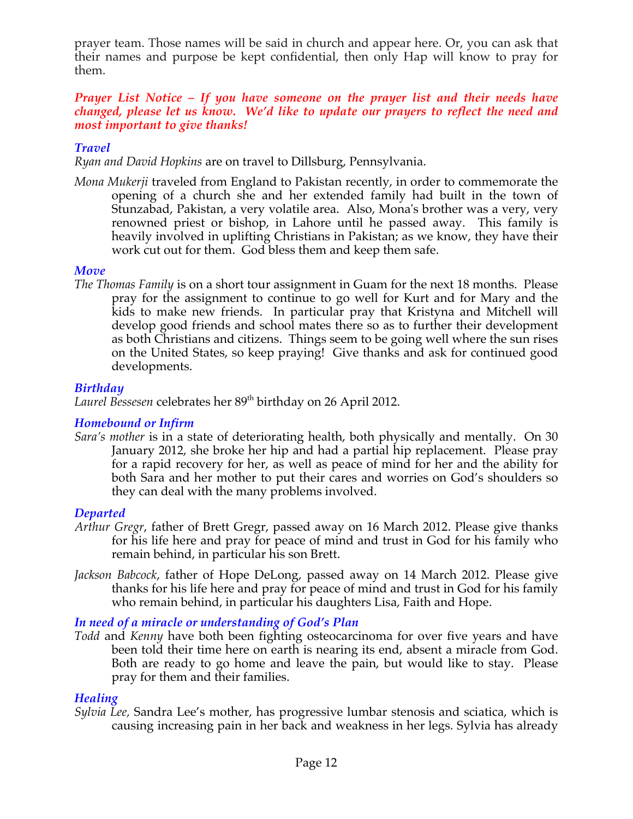prayer team. Those names will be said in church and appear here. Or, you can ask that their names and purpose be kept confidential, then only Hap will know to pray for them.

## *Prayer List Notice – If you have someone on the prayer list and their needs have changed, please let us know. We'd like to update our prayers to reflect the need and most important to give thanks!*

# *Travel*

*Ryan and David Hopkins* are on travel to Dillsburg, Pennsylvania.

*Mona Mukerji* traveled from England to Pakistan recently, in order to commemorate the opening of a church she and her extended family had built in the town of Stunzabad, Pakistan, a very volatile area. Also, Mona's brother was a very, very renowned priest or bishop, in Lahore until he passed away. This family is heavily involved in uplifting Christians in Pakistan; as we know, they have their work cut out for them. God bless them and keep them safe.

# *Move*

*The Thomas Family* is on a short tour assignment in Guam for the next 18 months. Please pray for the assignment to continue to go well for Kurt and for Mary and the kids to make new friends. In particular pray that Kristyna and Mitchell will develop good friends and school mates there so as to further their development as both Christians and citizens. Things seem to be going well where the sun rises on the United States, so keep praying! Give thanks and ask for continued good developments.

# *Birthday*

Laurel Bessesen celebrates her 89<sup>th</sup> birthday on 26 April 2012.

# *Homebound or Infirm*

*Sara's mother* is in a state of deteriorating health, both physically and mentally. On 30 January 2012, she broke her hip and had a partial hip replacement. Please pray for a rapid recovery for her, as well as peace of mind for her and the ability for both Sara and her mother to put their cares and worries on God's shoulders so they can deal with the many problems involved.

# *Departed*

- *Arthur Gregr*, father of Brett Gregr, passed away on 16 March 2012. Please give thanks for his life here and pray for peace of mind and trust in God for his family who remain behind, in particular his son Brett.
- *Jackson Babcock*, father of Hope DeLong, passed away on 14 March 2012. Please give thanks for his life here and pray for peace of mind and trust in God for his family who remain behind, in particular his daughters Lisa, Faith and Hope.

# *In need of a miracle or understanding of God's Plan*

*Todd* and *Kenny* have both been fighting osteocarcinoma for over five years and have been told their time here on earth is nearing its end, absent a miracle from God. Both are ready to go home and leave the pain, but would like to stay. Please pray for them and their families.

# *Healing*

*Sylvia Lee,* Sandra Lee's mother, has progressive lumbar stenosis and sciatica, which is causing increasing pain in her back and weakness in her legs. Sylvia has already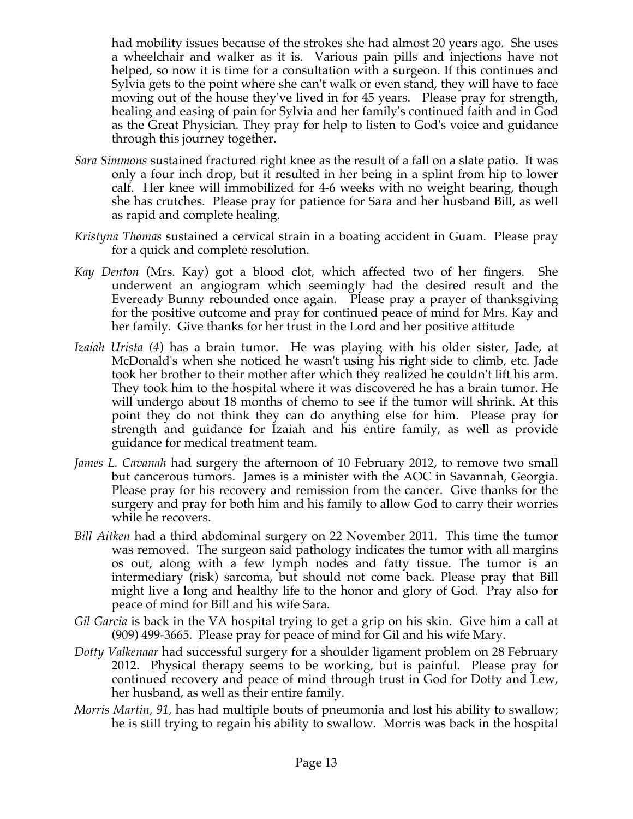had mobility issues because of the strokes she had almost 20 years ago. She uses a wheelchair and walker as it is. Various pain pills and injections have not helped, so now it is time for a consultation with a surgeon. If this continues and Sylvia gets to the point where she can't walk or even stand, they will have to face moving out of the house they've lived in for 45 years. Please pray for strength, healing and easing of pain for Sylvia and her family's continued faith and in God as the Great Physician. They pray for help to listen to God's voice and guidance through this journey together.

- *Sara Simmons* sustained fractured right knee as the result of a fall on a slate patio. It was only a four inch drop, but it resulted in her being in a splint from hip to lower calf. Her knee will immobilized for 4-6 weeks with no weight bearing, though she has crutches. Please pray for patience for Sara and her husband Bill, as well as rapid and complete healing.
- *Kristyna Thomas* sustained a cervical strain in a boating accident in Guam. Please pray for a quick and complete resolution.
- *Kay Denton* (Mrs. Kay) got a blood clot, which affected two of her fingers. She underwent an angiogram which seemingly had the desired result and the Eveready Bunny rebounded once again. Please pray a prayer of thanksgiving for the positive outcome and pray for continued peace of mind for Mrs. Kay and her family. Give thanks for her trust in the Lord and her positive attitude.
- *Izaiah Urista (4*) has a brain tumor. He was playing with his older sister, Jade, at McDonald's when she noticed he wasn't using his right side to climb, etc. Jade took her brother to their mother after which they realized he couldn't lift his arm. They took him to the hospital where it was discovered he has a brain tumor. He will undergo about 18 months of chemo to see if the tumor will shrink. At this point they do not think they can do anything else for him. Please pray for strength and guidance for Izaiah and his entire family, as well as provide guidance for medical treatment team.
- *James L. Cavanah* had surgery the afternoon of 10 February 2012, to remove two small but cancerous tumors. James is a minister with the AOC in Savannah, Georgia. Please pray for his recovery and remission from the cancer. Give thanks for the surgery and pray for both him and his family to allow God to carry their worries while he recovers.
- *Bill Aitken* had a third abdominal surgery on 22 November 2011. This time the tumor was removed. The surgeon said pathology indicates the tumor with all margins os out, along with a few lymph nodes and fatty tissue. The tumor is an intermediary (risk) sarcoma, but should not come back. Please pray that Bill might live a long and healthy life to the honor and glory of God. Pray also for peace of mind for Bill and his wife Sara.
- *Gil Garcia* is back in the VA hospital trying to get a grip on his skin. Give him a call at (909) 499-3665. Please pray for peace of mind for Gil and his wife Mary.
- *Dotty Valkenaar* had successful surgery for a shoulder ligament problem on 28 February 2012. Physical therapy seems to be working, but is painful. Please pray for continued recovery and peace of mind through trust in God for Dotty and Lew, her husband, as well as their entire family.
- *Morris Martin, 91,* has had multiple bouts of pneumonia and lost his ability to swallow; he is still trying to regain his ability to swallow. Morris was back in the hospital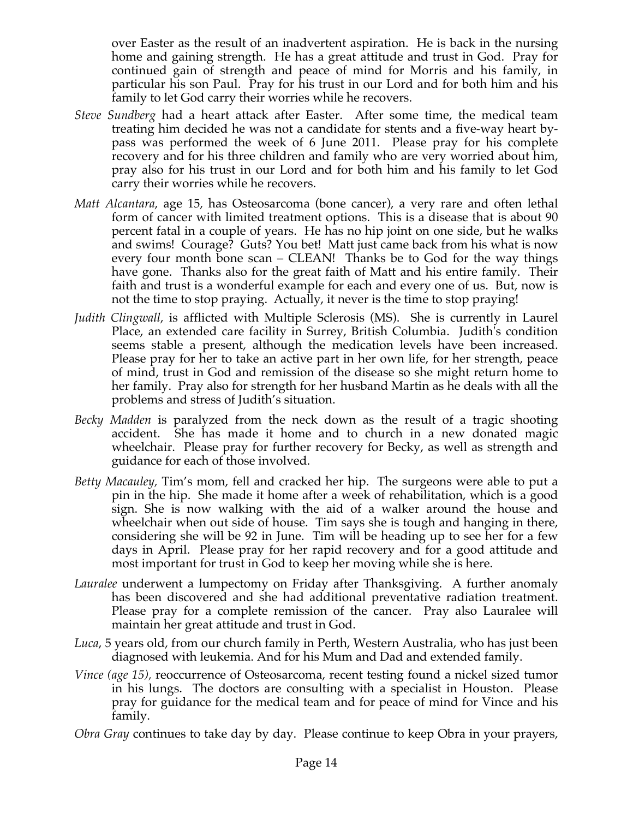over Easter as the result of an inadvertent aspiration. He is back in the nursing home and gaining strength. He has a great attitude and trust in God. Pray for continued gain of strength and peace of mind for Morris and his family, in particular his son Paul. Pray for his trust in our Lord and for both him and his family to let God carry their worries while he recovers.

- *Steve Sundberg* had a heart attack after Easter. After some time, the medical team treating him decided he was not a candidate for stents and a five-way heart bypass was performed the week of 6 June 2011. Please pray for his complete recovery and for his three children and family who are very worried about him, pray also for his trust in our Lord and for both him and his family to let God carry their worries while he recovers.
- *Matt Alcantara*, age 15, has Osteosarcoma (bone cancer), a very rare and often lethal form of cancer with limited treatment options. This is a disease that is about 90 percent fatal in a couple of years. He has no hip joint on one side, but he walks and swims! Courage? Guts? You bet! Matt just came back from his what is now every four month bone scan – CLEAN! Thanks be to God for the way things have gone. Thanks also for the great faith of Matt and his entire family. Their faith and trust is a wonderful example for each and every one of us. But, now is not the time to stop praying. Actually, it never is the time to stop praying!
- *Judith Clingwall*, is afflicted with Multiple Sclerosis (MS). She is currently in Laurel Place, an extended care facility in Surrey, British Columbia. Judith's condition seems stable a present, although the medication levels have been increased. Please pray for her to take an active part in her own life, for her strength, peace of mind, trust in God and remission of the disease so she might return home to her family. Pray also for strength for her husband Martin as he deals with all the problems and stress of Judith's situation.
- *Becky Madden* is paralyzed from the neck down as the result of a tragic shooting accident. She has made it home and to church in a new donated magic wheelchair. Please pray for further recovery for Becky, as well as strength and guidance for each of those involved.
- *Betty Macauley,* Tim's mom, fell and cracked her hip. The surgeons were able to put a pin in the hip. She made it home after a week of rehabilitation, which is a good sign. She is now walking with the aid of a walker around the house and wheelchair when out side of house. Tim says she is tough and hanging in there, considering she will be 92 in June. Tim will be heading up to see her for a few days in April. Please pray for her rapid recovery and for a good attitude and most important for trust in God to keep her moving while she is here.
- *Lauralee* underwent a lumpectomy on Friday after Thanksgiving. A further anomaly has been discovered and she had additional preventative radiation treatment. Please pray for a complete remission of the cancer. Pray also Lauralee will maintain her great attitude and trust in God.
- *Luca*, 5 years old, from our church family in Perth, Western Australia, who has just been diagnosed with leukemia. And for his Mum and Dad and extended family.
- *Vince (age 15),* reoccurrence of Osteosarcoma, recent testing found a nickel sized tumor in his lungs. The doctors are consulting with a specialist in Houston. Please pray for guidance for the medical team and for peace of mind for Vince and his family.
- *Obra Gray* continues to take day by day. Please continue to keep Obra in your prayers,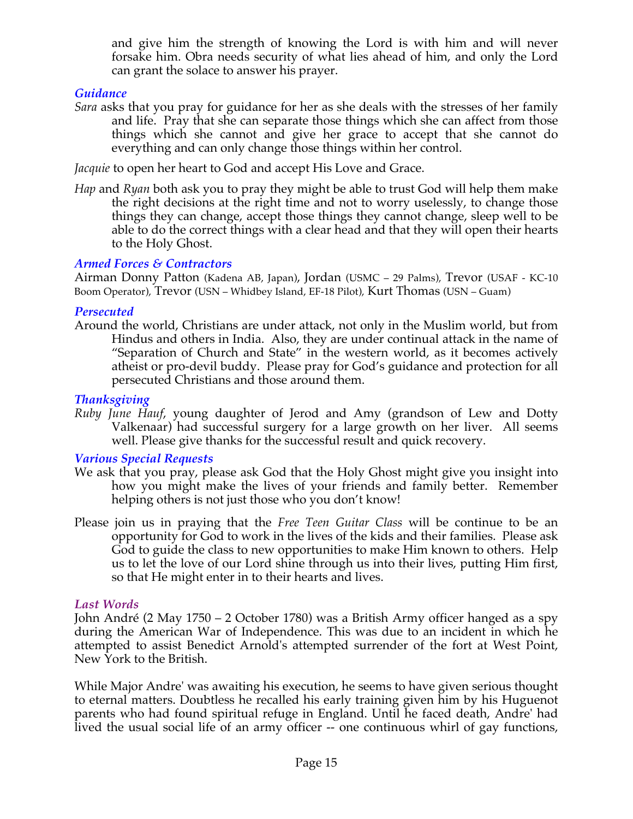and give him the strength of knowing the Lord is with him and will never forsake him. Obra needs security of what lies ahead of him, and only the Lord can grant the solace to answer his prayer.

## *Guidance*

*Sara* asks that you pray for guidance for her as she deals with the stresses of her family and life. Pray that she can separate those things which she can affect from those things which she cannot and give her grace to accept that she cannot do everything and can only change those things within her control.

*Jacquie* to open her heart to God and accept His Love and Grace.

*Hap* and *Ryan* both ask you to pray they might be able to trust God will help them make the right decisions at the right time and not to worry uselessly, to change those things they can change, accept those things they cannot change, sleep well to be able to do the correct things with a clear head and that they will open their hearts to the Holy Ghost.

# *Armed Forces & Contractors*

Airman Donny Patton (Kadena AB, Japan), Jordan (USMC – 29 Palms), Trevor (USAF - KC-10 Boom Operator), Trevor (USN – Whidbey Island, EF-18 Pilot), Kurt Thomas (USN – Guam)

## *Persecuted*

Around the world, Christians are under attack, not only in the Muslim world, but from Hindus and others in India. Also, they are under continual attack in the name of "Separation of Church and State" in the western world, as it becomes actively atheist or pro-devil buddy. Please pray for God's guidance and protection for all persecuted Christians and those around them.

## *Thanksgiving*

*Ruby June Hauf*, young daughter of Jerod and Amy (grandson of Lew and Dotty Valkenaar) had successful surgery for a large growth on her liver. All seems well. Please give thanks for the successful result and quick recovery.

## *Various Special Requests*

- We ask that you pray, please ask God that the Holy Ghost might give you insight into how you might make the lives of your friends and family better. Remember helping others is not just those who you don't know!
- Please join us in praying that the *Free Teen Guitar Class* will be continue to be an opportunity for God to work in the lives of the kids and their families. Please ask God to guide the class to new opportunities to make Him known to others. Help us to let the love of our Lord shine through us into their lives, putting Him first, so that He might enter in to their hearts and lives.

## *Last Words*

John André (2 May 1750 – 2 October 1780) was a British Army officer hanged as a spy during the American War of Independence. This was due to an incident in which he attempted to assist Benedict Arnold's attempted surrender of the fort at West Point, New York to the British.

While Major Andre' was awaiting his execution, he seems to have given serious thought to eternal matters. Doubtless he recalled his early training given him by his Huguenot parents who had found spiritual refuge in England. Until he faced death, Andre' had lived the usual social life of an army officer -- one continuous whirl of gay functions,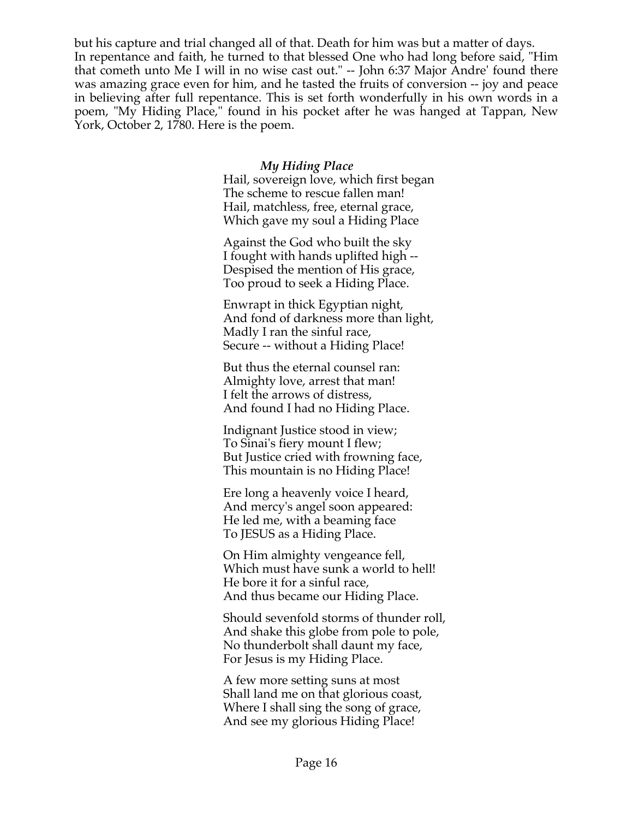but his capture and trial changed all of that. Death for him was but a matter of days. In repentance and faith, he turned to that blessed One who had long before said, "Him that cometh unto Me I will in no wise cast out." -- John 6:37 Major Andre' found there was amazing grace even for him, and he tasted the fruits of conversion -- joy and peace in believing after full repentance. This is set forth wonderfully in his own words in a poem, "My Hiding Place," found in his pocket after he was hanged at Tappan, New York, October 2, 1780. Here is the poem.

## *My Hiding Place*

Hail, sovereign love, which first began The scheme to rescue fallen man! Hail, matchless, free, eternal grace, Which gave my soul a Hiding Place

Against the God who built the sky I fought with hands uplifted high -- Despised the mention of His grace, Too proud to seek a Hiding Place.

Enwrapt in thick Egyptian night, And fond of darkness more than light, Madly I ran the sinful race, Secure -- without a Hiding Place!

But thus the eternal counsel ran: Almighty love, arrest that man! I felt the arrows of distress, And found I had no Hiding Place.

Indignant Justice stood in view; To Sinai's fiery mount I flew; But Justice cried with frowning face, This mountain is no Hiding Place!

Ere long a heavenly voice I heard, And mercy's angel soon appeared: He led me, with a beaming face To JESUS as a Hiding Place.

On Him almighty vengeance fell, Which must have sunk a world to hell! He bore it for a sinful race, And thus became our Hiding Place.

Should sevenfold storms of thunder roll, And shake this globe from pole to pole, No thunderbolt shall daunt my face, For Jesus is my Hiding Place.

A few more setting suns at most Shall land me on that glorious coast, Where I shall sing the song of grace, And see my glorious Hiding Place!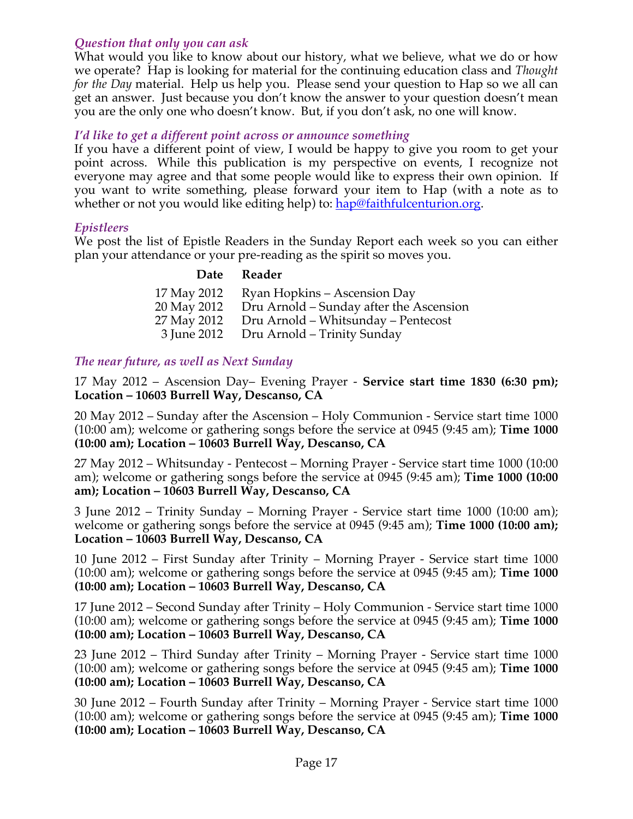## *Question that only you can ask*

What would you like to know about our history, what we believe, what we do or how we operate? Hap is looking for material for the continuing education class and *Thought for the Day* material. Help us help you. Please send your question to Hap so we all can get an answer. Just because you don't know the answer to your question doesn't mean you are the only one who doesn't know. But, if you don't ask, no one will know.

## *I'd like to get a different point across or announce something*

If you have a different point of view, I would be happy to give you room to get your point across. While this publication is my perspective on events, I recognize not everyone may agree and that some people would like to express their own opinion. If you want to write something, please forward your item to Hap (with a note as to whether or not you would like editing help) to: hap@faithfulcenturion.org.

## *Epistleers*

We post the list of Epistle Readers in the Sunday Report each week so you can either plan your attendance or your pre-reading as the spirit so moves you.

## **Date Reader**

| 17 May 2012 | Ryan Hopkins – Ascension Day            |
|-------------|-----------------------------------------|
| 20 May 2012 | Dru Arnold – Sunday after the Ascension |
| 27 May 2012 | Dru Arnold - Whitsunday - Pentecost     |
| 3 June 2012 | Dru Arnold – Trinity Sunday             |

## *The near future, as well as Next Sunday*

17 May 2012 – Ascension Day– Evening Prayer - **Service start time 1830 (6:30 pm); Location – 10603 Burrell Way, Descanso, CA**

20 May 2012 – Sunday after the Ascension – Holy Communion - Service start time 1000 (10:00 am); welcome or gathering songs before the service at 0945 (9:45 am); **Time 1000 (10:00 am); Location – 10603 Burrell Way, Descanso, CA**

27 May 2012 – Whitsunday - Pentecost – Morning Prayer - Service start time 1000 (10:00 am); welcome or gathering songs before the service at 0945 (9:45 am); **Time 1000 (10:00 am); Location – 10603 Burrell Way, Descanso, CA**

3 June 2012 – Trinity Sunday – Morning Prayer - Service start time 1000 (10:00 am); welcome or gathering songs before the service at 0945 (9:45 am); **Time 1000 (10:00 am); Location – 10603 Burrell Way, Descanso, CA**

10 June 2012 – First Sunday after Trinity – Morning Prayer - Service start time 1000 (10:00 am); welcome or gathering songs before the service at 0945 (9:45 am); **Time 1000 (10:00 am); Location – 10603 Burrell Way, Descanso, CA**

17 June 2012 – Second Sunday after Trinity – Holy Communion - Service start time 1000 (10:00 am); welcome or gathering songs before the service at 0945 (9:45 am); **Time 1000 (10:00 am); Location – 10603 Burrell Way, Descanso, CA**

23 June 2012 – Third Sunday after Trinity – Morning Prayer - Service start time 1000 (10:00 am); welcome or gathering songs before the service at 0945 (9:45 am); **Time 1000 (10:00 am); Location – 10603 Burrell Way, Descanso, CA**

30 June 2012 – Fourth Sunday after Trinity – Morning Prayer - Service start time 1000 (10:00 am); welcome or gathering songs before the service at 0945 (9:45 am); **Time 1000 (10:00 am); Location – 10603 Burrell Way, Descanso, CA**